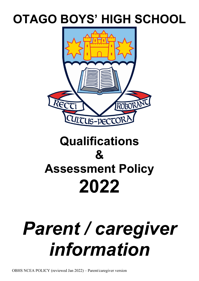# **OTAGO BOYS' HIGH SCHOOL**



# **Qualifications & Assessment Policy 2022**

# *Parent / caregiver information*

OBHS NCEA POLICY (reviewed Jan 2022) – Parent/caregiver version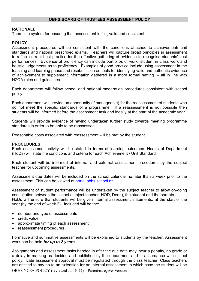#### **OBHS BOARD OF TRUSTEES ASSESSMENT POLICY**

#### **RATIONALE**

There is a system for ensuring that assessment is fair, valid and consistent.

#### **POLICY**

Assessment procedures will be consistent with the conditions attached to achievement/ unit standards and national prescribed exams. Teachers will capture broad principles in assessment to reflect current best practice for the effective gathering of evidence to recognise students' best performances. Evidence of proficiency can include portfolios of work, student in class work and holistic judgements as to proficiency. Examples of good practice include using assessment in the teaching and learning phase and resubmission as tools for identifying valid and authentic evidence of achievement to supplement information gathered in a more formal setting. – all in line with NZQA rules and guidelines.

Each department will follow school and national moderation procedures consistent with school policy.

Each department will provide an opportunity (if manageable) for the reassessment of students who do not meet the specific standards of a programme. If a reassessment is not possible then students will be informed before the assessment task and ideally at the start of the academic year.

Students will provide evidence of having undertaken further study towards meeting programme standards in order to be able to be reassessed.

Reasonable costs associated with reassessment will be met by the student.

#### **PROCEDURES**

Each assessment activity will be stated in terms of learning outcomes. Heads of Department (HoDs) will state the conditions and criteria for each Achievement / Unit Standard.

Each student will be informed of internal and external assessment procedures by the subject teacher for upcoming assessments.

Assessment due dates will be included on the school calendar no later than a week prior to the assessment. This can be viewed at portal.obhs.school.nz.

Assessment of student performance will be undertaken by the subject teacher to allow on-going consultation between the school (subject teacher, HOD, Dean), the student and the parents. HoDs will ensure that students will be given internal assessment statements, at the start of the year (by the end of week 2). Included will be the:

- number and type of assessments
- credit value
- approximate timing of each assessment
- reassessment procedures

Formative and summative assessments will be explained to students by the teacher. Assessment work can be held *for up to 2 years*.

Assignments and assessment tasks handed in after the due date may incur a penalty, no grade or a delay in marking as decided and published by the department and in accordance with school policy. Late assessment approval must be negotiated through the class teacher. Class teachers are entitled to say no to an extension for an internal assessment in which case the student will be

OBHS NCEA POLICY (reviewed Jan 2022) – Parent/caregiver version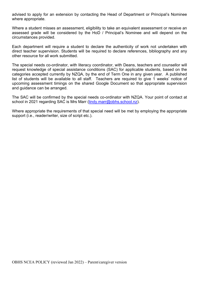advised to apply for an extension by contacting the Head of Department or Principal's Nominee where appropriate.

Where a student misses an assessment, eligibility to take an equivalent assessment or receive an assessed grade will be considered by the HoD / Principal's Nominee and will depend on the circumstances provided.

Each department will require a student to declare the authenticity of work not undertaken with direct teacher supervision. Students will be required to declare references, bibliography and any other resource for all work submitted.

The special needs co-ordinator, with literacy coordinator, with Deans, teachers and counsellor will request knowledge of special assistance conditions (SAC) for applicable students, based on the categories accepted currently by NZQA, by the end of Term One in any given year. A published list of students will be available to all staff. Teachers are required to give 1 weeks' notice of upcoming assessment timings on the shared Google Document so that appropriate supervision and guidance can be arranged.

The SAC will be confirmed by the special needs co-ordinator with NZQA. Your point of contact at school in 2021 regarding SAC is Mrs Marr [\(lindy.marr@obhs.school.nz\)](mailto:lindy.marr@obhs.school.nz).

Where appropriate the requirements of that special need will be met by employing the appropriate support (i.e., reader/writer, size of script etc.).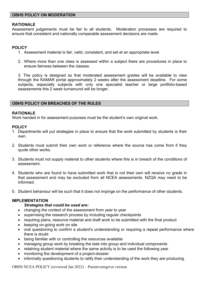#### **OBHS POLICY ON MODERATION**

#### **RATIONALE**

Assessment judgements must be fair to all students. Moderation processes are required to ensure that consistent and nationally comparable assessment decisions are made.

#### **POLICY**

- 1. Assessment material is fair, valid, consistent, and set at an appropriate level.
- 2. Where more than one class is assessed within a subject there are procedures in place to ensure fairness between the classes.

3. The policy is designed so that moderated assessment grades will be available to view through the KAMAR portal approximately 2 weeks after the assessment deadline. For some subjects, especially subjects with only one specialist teacher or large portfolio-based assessments this 2 week turnaround will be longer.

#### **OBHS POLICY ON BREACHES OF THE RULES**

#### **RATIONALE**

Work handed in for assessment purposes must be the student's own original work.

#### **POLICY**

- 1. Departments will put strategies in place to ensure that the work submitted by students is their own.
- 2. Students must submit their own work or reference where the source has come from if they quote other works.
- 3. Students must not supply material to other students where this is in breach of the conditions of assessment.
- 4. Students who are found to have submitted work that is not their own will receive no grade in that assessment and may be excluded from all NCEA assessments. NZQA may need to be informed.
- 5. Student behaviour will be such that it does not impinge on the performance of other students.

#### **IMPLEMENTATION**

#### . *Strategies that could be used are:*

- changing the context of the assessment from year to year
- supervising the research process by including regular checkpoints
- requiring plans, resource material and draft work to be submitted with the final product
- keeping on-going work on site
- oral questioning to confirm a student's understanding or requiring a repeat performance where there is doubt
- being familiar with or controlling the resources available
- managing group work by breaking the task into group and individual components
- retaining student material where the same activity is to be used the following year
- monitoring the development of a project-dossier
- informally questioning students to ratify their understanding of the work they are producing.

OBHS NCEA POLICY (reviewed Jan 2022) – Parent/caregiver version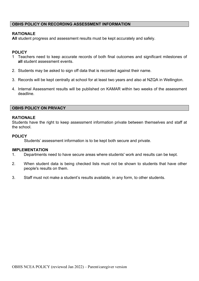#### **OBHS POLICY ON RECORDING ASSESSMENT INFORMATION**

#### **RATIONALE**

**All** student progress and assessment results must be kept accurately and safely.

#### **POLICY**

- 1 Teachers need to keep accurate records of both final outcomes and significant milestones of **all** student assessment events.
- 2. Students may be asked to sign off data that is recorded against their name.
- 3. Records will be kept centrally at school for at least two years and also at NZQA in Wellington.
- 4. Internal Assessment results will be published on KAMAR within two weeks of the assessment deadline.

#### **OBHS POLICY ON PRIVACY**

#### **RATIONALE**

Students have the right to keep assessment information private between themselves and staff at the school.

#### **POLICY**

Students' assessment information is to be kept both secure and private.

#### **IMPLEMENTATION**

- 1. Departments need to have secure areas where students' work and results can be kept.
- 2. When student data is being checked lists must not be shown to students that have other people's results on them.
- 3. Staff must not make a student's results available, in any form, to other students.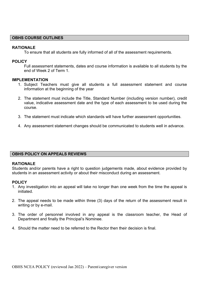#### **OBHS COURSE OUTLINES**

#### **RATIONALE**

To ensure that all students are fully informed of all of the assessment requirements.

#### **POLICY**

Full assessment statements, dates and course information is available to all students by the end of Week 2 of Term 1.

#### **IMPLEMENTATION**

- 1. Subject Teachers must give all students a full assessment statement and course information at the beginning of the year
- 2. The statement must include the Title, Standard Number (including version number), credit value, indicative assessment date and the type of each assessment to be used during the course.
- 3. The statement must indicate which standards will have further assessment opportunities.
- 4. Any assessment statement changes should be communicated to students well in advance.

#### **OBHS POLICY ON APPEALS REVIEWS**

#### **RATIONALE**

Students and/or parents have a right to question judgements made, about evidence provided by students in an assessment activity or about their misconduct during an assessment.

#### **POLICY**

- 1. Any investigation into an appeal will take no longer than one week from the time the appeal is initiated.
- 2. The appeal needs to be made within three (3) days of the return of the assessment result in writing or by e-mail.
- 3. The order of personnel involved in any appeal is the classroom teacher, the Head of Department and finally the Principal's Nominee.
- 4. Should the matter need to be referred to the Rector then their decision is final.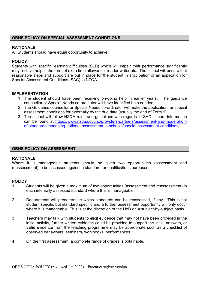#### **OBHS POLICY ON SPECIAL ASSESSMENT CONDITIONS**

#### **RATIONALE**

All Students should have equal opportunity to achieve

#### **POLICY**

Students with specific learning difficulties (SLD) which will impair their performance significantly may receive help in the form of extra time allowance, reader-writer etc. The school will ensure that reasonable steps and support are put in place for the student in anticipation of an application for Special Assessment Conditions (SAC) to NZQA.

#### **IMPLEMENTATION**

- 1. The student should have been receiving on-going help in earlier years. The guidance counsellor or Special Needs co-ordinator will have identified help needed.
- 2. The Guidance counsellor or Special Needs co-ordinator will make the application for special assessment conditions for externally by the due date (usually the end of Term 1)
- 3. The school will follow NZQA rules and guidelines with regards to SAC more information can be found at [https://www.nzqa.govt.nz/providers-partners/assessment-and-moderation](https://www.nzqa.govt.nz/providers-partners/assessment-and-moderation-of-standards/managing-national-assessment-in-schools/special-assessment-conditions/)[of-standards/managing-national-assessment-in-schools/special-assessment-conditions/](https://www.nzqa.govt.nz/providers-partners/assessment-and-moderation-of-standards/managing-national-assessment-in-schools/special-assessment-conditions/)

#### **OBHS POLICY ON ASSESSMENT**

#### **RATIONALE**

Where it is manageable students should be given two opportunities (assessment and reassessment) to be assessed against a standard for qualifications purposes.

# **POLICY**<br>1

- Students will be given a maximum of two opportunities (assessment and reassessment) in each internally assessed standard where this is manageable.
- 2. Departments will predetermine which standards can be reassessed, if any. This is not student specific but standard specific and a further assessment opportunity will only occur where it is manageable. This is at the discretion of the HoD on a subject-by-subject basis.
- 3. Teachers may talk with students to elicit evidence that may not have been provided in the initial activity, further written evidence could be provided to support the initial answers, or **valid** evidence from the teaching programme may be appropriate such as a checklist of observed behaviours, seminars, workbooks, performances
- 4. On the first assessment, a complete range of grades is obtainable.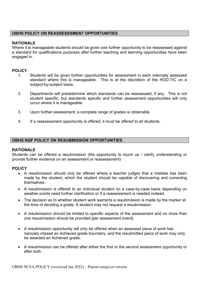#### **OBHS POLICY ON REASSESSSMENT OPPORTUNITIES**

#### **RATIONALE**

Where it is manageable students should be given one further opportunity to be reassessed against a standard for qualifications purposes after further teaching and learning opportunities have been engaged in.

#### **POLICY**

- 1. Students will be given further opportunities for assessment in each internally assessed standard where this is manageable. This is at the discretion of the HOD-TIC on a subject-by-subject basis.
- 2. Departments will predetermine which standards can be reassessed, if any. This is not student specific, but standards specific and further assessment opportunities will only occur where it is manageable.
- 3. Upon further assessment, a complete range of grades is obtainable.
- 4. If a reassessment opportunity is offered, it must be offered to all students.

#### **OBHS NQF POLICY ON RESUBMISSION OPPORTUNITIES**

#### **RATIONALE**

Students can be offered a resubmission (the opportunity to touch up / clarify understanding or provide further evidence on an assessment or reassessment)

#### **POLICY**

- A resubmission should only be offered where a teacher judges that a mistake has been made by the student, which the student should be capable of discovering and correcting themselves.
- A resubmission is offered to an individual student on a case-by-case basis depending on weather points need further clarification or if a reassessment is needed instead.
- The decision as to whether student work warrants a resubmission is made by the marker at the time of deciding a grade. A student may not request a resubmission.
- A resubmission should be limited to specific aspects of the assessment and no more than one resubmission should be provided [per assessment event].
- A resubmission opportunity will only be offered when an assessed piece of work has narrowly missed an Achieved grade boundary, and the resubmitted piece of work may only be awarded an Achieved grade.
- A resubmission can be offered after either the first or the second assessment opportunity or after both.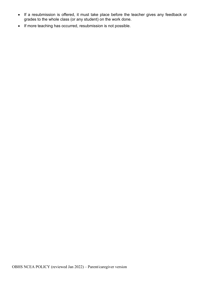- If a resubmission is offered, it must take place before the teacher gives any feedback or grades to the whole class (or any student) on the work done.
- If more teaching has occurred, resubmission is not possible.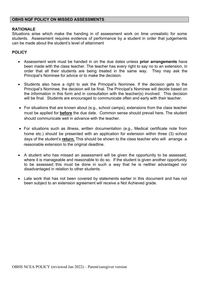#### **OBHS NQF POLICY ON MISSED ASSESSMENTS**

#### **RATIONALE**

Situations arise which make the handing in of assessment work on time unrealistic for some students. Assessment requires evidence of performance by a student in order that judgements can be made about the student's level of attainment

#### **POLICY**

- Assessment work must be handed in on the due dates unless **prior arrangements** have been made with the class teacher. The teacher has every right to say no to an extension, in order that all their students are being treated in the same way. They may ask the Principal's Nominee for advice or to make the decision.
- Students also have a right to ask the Principal's Nominee. If the decision gets to the Principal's Nominee, the decision will be final. The Principal's Nominee will decide based on the information in this form and in consultation with the teacher(s) involved. This decision will be final. Students are encouraged to communicate often and early with their teacher.
- For situations that are known about (e.g., school camps), extensions from the class teacher must be applied for **before** the due date. Common sense should prevail here. The student should communicate well in advance with the teacher.
- For situations such as illness, written documentation (e.g., Medical certificate note from home etc.) should be presented with an application for extension within three (3) school days of the student's **return.** This should be shown to the class teacher who will arrange a reasonable extension to the original deadline.
- A student who has missed an assessment will be given the opportunity to be assessed, where it is manageable and reasonable to do so. If the student is given another opportunity to be assessed this must be done in such a way that he is neither advantaged nor disadvantaged in relation to other students.
- Late work that has not been covered by statements earlier in this document and has not been subject to an extension agreement will receive a Not Achieved grade.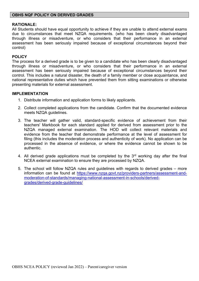#### **RATIONALE:**

All Students should have equal opportunity to achieve if they are unable to attend external exams due to circumstances that meet NZQA requirements. (who has been clearly disadvantaged through illness or misadventure, or who considers that their performance in an external assessment has been seriously impaired because of exceptional circumstances beyond their control)

#### **POLICY**

The process for a derived grade is to be given to a candidate who has been clearly disadvantaged through illness or misadventure, or who considers that their performance in an external assessment has been seriously impaired because of exceptional circumstances beyond their control. This includes a natural disaster, the death of a family member or close acquaintance, and national representative duties which have prevented them from sitting examinations or otherwise presenting materials for external assessment.

#### **IMPLEMENTATION**

- 1. Distribute information and application forms to likely applicants.
- 2. Collect completed applications from the candidate. Confirm that the documented evidence meets NZQA guidelines.
- 3. The teacher will gather valid, standard-specific evidence of achievement from their teachers' Markbook for each standard applied for derived from assessment prior to the NZQA managed external examination. The HOD will collect relevant materials and evidence from the teacher that demonstrate performance at the level of assessment for filing (this includes the moderation process and authenticity of work). No application can be processed in the absence of evidence, or where the evidence cannot be shown to be authentic.
- 4. All derived grade applications must be completed by the  $3<sup>rd</sup>$  working day after the final NCEA external examination to ensure they are processed by NZQA.
- 5. The school will follow NZQA rules and guidelines with regards to derived grades more information can be found at [https://www.nzqa.govt.nz/providers-partners/assessment-and](https://www.nzqa.govt.nz/providers-partners/assessment-and-moderation-of-standards/managing-national-assessment-in-schools/derived-grades/derived-grade-guidelines/)[moderation-of-standards/managing-national-assessment-in-schools/derived](https://www.nzqa.govt.nz/providers-partners/assessment-and-moderation-of-standards/managing-national-assessment-in-schools/derived-grades/derived-grade-guidelines/)[grades/derived-grade-guidelines/](https://www.nzqa.govt.nz/providers-partners/assessment-and-moderation-of-standards/managing-national-assessment-in-schools/derived-grades/derived-grade-guidelines/)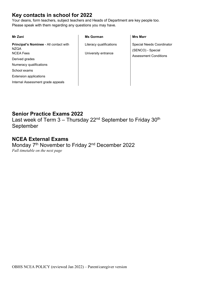## **Key contacts in school for 2022**

Your deans, form teachers, subject teachers and Heads of Department are key people too. Please speak with them regarding any questions you may have.

| Mr Zani                                                                   | <b>Ms Gorman</b>                               | <b>Mrs Marr</b>                                |
|---------------------------------------------------------------------------|------------------------------------------------|------------------------------------------------|
| Principal's Nominee - All contact with<br><b>NZQA</b><br><b>NCEA Fees</b> | Literacy qualifications<br>University entrance | Special Needs Coordinator<br>(SENCO) - Special |
| Derived grades                                                            |                                                | <b>Assessment Conditions</b>                   |
| Numeracy qualifications                                                   |                                                |                                                |
| School exams                                                              |                                                |                                                |
| <b>Extension applications</b>                                             |                                                |                                                |
| Internal Assessment grade appeals                                         |                                                |                                                |

## **Senior Practice Exams 2022**

Last week of Term  $3 -$  Thursday 22<sup>nd</sup> September to Friday 30<sup>th</sup> September

### **NCEA External Exams**

Monday 7<sup>th</sup> November to Friday 2<sup>nd</sup> December 2022 *Full timetable on the next page*